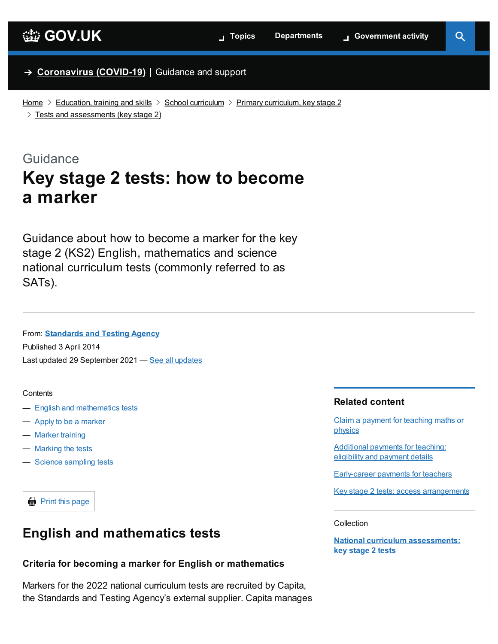### → **[Coronavirus](https://www.gov.uk/coronavirus) (COVID-19)** Guidance and support

[Home](https://www.gov.uk/)  $\geq$  [Education,](https://www.gov.uk/education) training and skills  $\geq$  School [curriculum](https://www.gov.uk/education/school-curriculum)  $\geq$  Primary [curriculum,](https://www.gov.uk/education/primary-curriculum-key-stage-2) key stage 2

 $>$  Tests and [assessments](https://www.gov.uk/education/primary-curriculum-key-stage-2-tests-and-assessments) (key stage 2)

### Guidance

# **Key stage 2 tests: how to become a marker**

Guidance about how to become a marker for the key stage 2 (KS2) English, mathematics and science national curriculum tests (commonly referred to as SATs).

### From: **[Standards](https://www.gov.uk/government/organisations/standards-and-testing-agency) and Testing Agency**

Published 3 April 2014 Last updated 29 September 2021 — <u>See all [updates](#page-2-0)</u>

#### <span id="page-0-1"></span>**Contents**

- English and [mathematics](#page-0-0) tests
- Apply to be a [marker](#page-1-0)
- Marker [training](#page-2-1)
- [Marking](#page-2-2) the tests
- Science [sampling](#page-2-3) tests

 $\bigoplus$  Print this page

# <span id="page-0-0"></span>**English and mathematics tests**

### **Criteria for becoming a marker for English or mathematics**

Markers for the 2022 national curriculum tests are recruited by Capita, the Standards and Testing Agency's external supplier. Capita manages

#### **Related content**

Claim a [payment](https://www.gov.uk/guidance/claim-a-payment-for-teaching-maths-or-physics) for teaching maths or physics

[Additional](https://www.gov.uk/government/publications/additional-payments-for-teaching-eligibility-and-payment-details) payments for teaching: eligibility and payment details

[Early-career](https://www.gov.uk/guidance/early-career-payments-guidance-for-teachers-and-schools) payments for teachers

Key stage 2 tests: access [arrangements](https://www.gov.uk/government/publications/key-stage-2-tests-access-arrangements)

#### **Collection**

**National curriculum [assessments:](https://www.gov.uk/government/collections/national-curriculum-assessments-key-stage-2-tests) key stage 2 tests**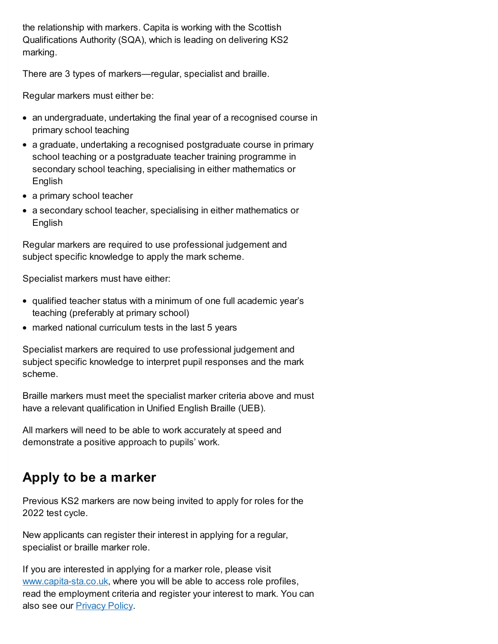the relationship with markers. Capita is working with the Scottish Qualifications Authority (SQA), which is leading on delivering KS2 marking.

There are 3 types of markers—regular, specialist and braille.

Regular markers must either be:

- an undergraduate, undertaking the final year of a recognised course in primary school teaching
- a graduate, undertaking a recognised postgraduate course in primary school teaching or a postgraduate teacher training programme in secondary school teaching, specialising in either mathematics or English
- a primary school teacher
- a secondary school teacher, specialising in either mathematics or English

Regular markers are required to use professional judgement and subject specific knowledge to apply the mark scheme.

Specialist markers must have either:

- qualified teacher status with a minimum of one full academic year's teaching (preferably at primary school)
- marked national curriculum tests in the last 5 years

Specialist markers are required to use professional judgement and subject specific knowledge to interpret pupil responses and the mark scheme.

Braille markers must meet the specialist marker criteria above and must have a relevant qualification in Unified English Braille (UEB).

All markers will need to be able to work accurately at speed and demonstrate a positive approach to pupils' work.

# <span id="page-1-0"></span>**Apply to be a marker**

Previous KS2 markers are now being invited to apply for roles for the 2022 test cycle.

New applicants can register their interest in applying for a regular, specialist or braille marker role.

If you are interested in applying for a marker role, please visit [www.capita-sta.co.uk,](https://www.capita-sta.co.uk/) where you will be able to access role profiles, read the employment criteria and register your interest to mark. You can also see our **[Privacy](https://www.gov.uk/government/publications/privacy-notice-sta-markers-and-coders) Policy**.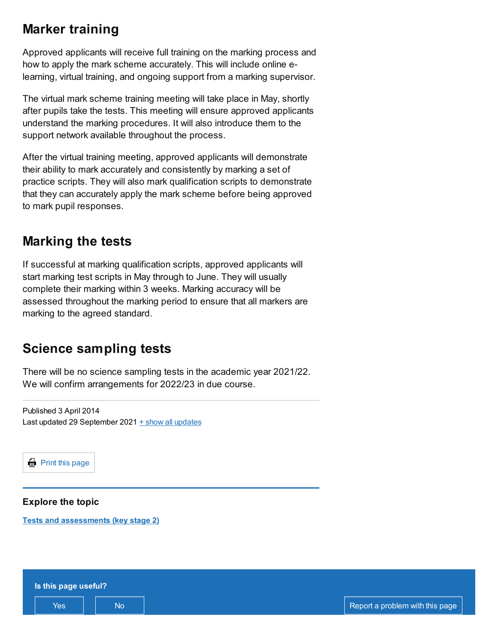# <span id="page-2-1"></span>**Marker training**

Approved applicants will receive full training on the marking process and how to apply the mark scheme accurately. This will include online elearning, virtual training, and ongoing support from a marking supervisor.

The virtual mark scheme training meeting will take place in May, shortly after pupils take the tests. This meeting will ensure approved applicants understand the marking procedures. It will also introduce them to the support network available throughout the process.

After the virtual training meeting, approved applicants will demonstrate their ability to mark accurately and consistently by marking a set of practice scripts. They will also mark qualification scripts to demonstrate that they can accurately apply the mark scheme before being approved to mark pupil responses.

### <span id="page-2-2"></span>**Marking the tests**

If successful at marking qualification scripts, approved applicants will start marking test scripts in May through to June. They will usually complete their marking within 3 weeks. Marking accuracy will be assessed throughout the marking period to ensure that all markers are marking to the agreed standard.

# <span id="page-2-3"></span>**Science sampling tests**

There will be no science sampling tests in the academic year 2021/22. We will confirm arrangements for 2022/23 in due course.

<span id="page-2-0"></span>Published 3 April 2014 Last updated 29 September 2021  $+$  show all updates

 $\bigoplus$  Print this page

**Explore the topic**

**Tests and [assessments](https://www.gov.uk/education/primary-curriculum-key-stage-2-tests-and-assessments) (key stage 2)**

| Is this page useful? |    |  |                                 |
|----------------------|----|--|---------------------------------|
| Yes                  | No |  | Report a problem with this page |